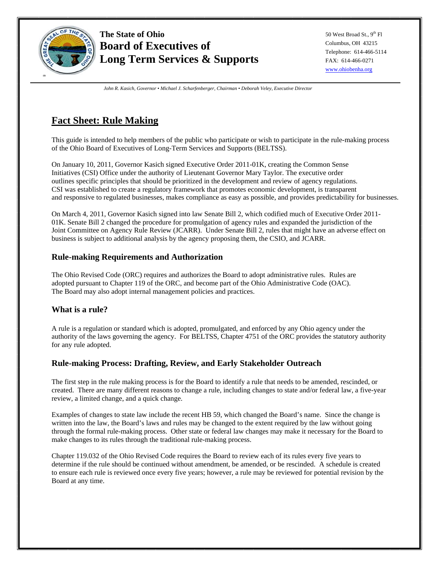

50 West Broad St., 9<sup>th</sup> Fl Columbus, OH 43215 Telephone: 614-466-5114 FAX: 614-466-0271 www.ohiobenha.org

*John R. Kasich, Governor • Michael J. Scharfenberger, Chairman • Deborah Veley, Executive Director* 

# **Fact Sheet: Rule Making**

This guide is intended to help members of the public who participate or wish to participate in the rule-making process of the Ohio Board of Executives of Long-Term Services and Supports (BELTSS).

On January 10, 2011, Governor Kasich signed Executive Order 2011-01K, creating the Common Sense Initiatives (CSI) Office under the authority of Lieutenant Governor Mary Taylor. The executive order outlines specific principles that should be prioritized in the development and review of agency regulations. CSI was established to create a regulatory framework that promotes economic development, is transparent and responsive to regulated businesses, makes compliance as easy as possible, and provides predictability for businesses.

On March 4, 2011, Governor Kasich signed into law Senate Bill 2, which codified much of Executive Order 2011- 01K. Senate Bill 2 changed the procedure for promulgation of agency rules and expanded the jurisdiction of the Joint Committee on Agency Rule Review (JCARR). Under Senate Bill 2, rules that might have an adverse effect on business is subject to additional analysis by the agency proposing them, the CSIO, and JCARR.

## **Rule-making Requirements and Authorization**

The Ohio Revised Code (ORC) requires and authorizes the Board to adopt administrative rules. Rules are adopted pursuant to Chapter 119 of the ORC, and become part of the Ohio Administrative Code (OAC). The Board may also adopt internal management policies and practices.

## **What is a rule?**

A rule is a regulation or standard which is adopted, promulgated, and enforced by any Ohio agency under the authority of the laws governing the agency. For BELTSS, Chapter 4751 of the ORC provides the statutory authority for any rule adopted.

## **Rule-making Process: Drafting, Review, and Early Stakeholder Outreach**

The first step in the rule making process is for the Board to identify a rule that needs to be amended, rescinded, or created. There are many different reasons to change a rule, including changes to state and/or federal law, a five-year review, a limited change, and a quick change.

Examples of changes to state law include the recent HB 59, which changed the Board's name. Since the change is written into the law, the Board's laws and rules may be changed to the extent required by the law without going through the formal rule-making process. Other state or federal law changes may make it necessary for the Board to make changes to its rules through the traditional rule-making process.

Chapter 119.032 of the Ohio Revised Code requires the Board to review each of its rules every five years to determine if the rule should be continued without amendment, be amended, or be rescinded. A schedule is created to ensure each rule is reviewed once every five years; however, a rule may be reviewed for potential revision by the Board at any time.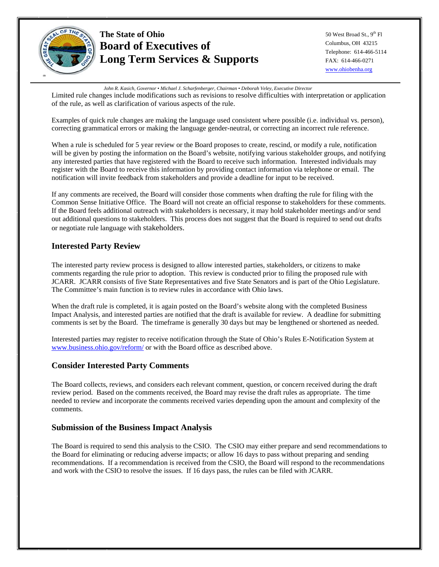

50 West Broad St., 9<sup>th</sup> Fl Columbus, OH 43215 Telephone: 614-466-5114 FAX: 614-466-0271 www.ohiobenha.org

*John R. Kasich, Governor • Michael J. Scharfenberger, Chairman • Deborah Veley, Executive Director* 

Limited rule changes include modifications such as revisions to resolve difficulties with interpretation or application of the rule, as well as clarification of various aspects of the rule.

Examples of quick rule changes are making the language used consistent where possible (i.e. individual vs. person), correcting grammatical errors or making the language gender-neutral, or correcting an incorrect rule reference.

When a rule is scheduled for 5 year review or the Board proposes to create, rescind, or modify a rule, notification will be given by posting the information on the Board's website, notifying various stakeholder groups, and notifying any interested parties that have registered with the Board to receive such information. Interested individuals may register with the Board to receive this information by providing contact information via telephone or email. The notification will invite feedback from stakeholders and provide a deadline for input to be received.

If any comments are received, the Board will consider those comments when drafting the rule for filing with the Common Sense Initiative Office. The Board will not create an official response to stakeholders for these comments. If the Board feels additional outreach with stakeholders is necessary, it may hold stakeholder meetings and/or send out additional questions to stakeholders. This process does not suggest that the Board is required to send out drafts or negotiate rule language with stakeholders.

## **Interested Party Review**

The interested party review process is designed to allow interested parties, stakeholders, or citizens to make comments regarding the rule prior to adoption. This review is conducted prior to filing the proposed rule with JCARR. JCARR consists of five State Representatives and five State Senators and is part of the Ohio Legislature. The Committee's main function is to review rules in accordance with Ohio laws.

When the draft rule is completed, it is again posted on the Board's website along with the completed Business Impact Analysis, and interested parties are notified that the draft is available for review. A deadline for submitting comments is set by the Board. The timeframe is generally 30 days but may be lengthened or shortened as needed.

Interested parties may register to receive notification through the State of Ohio's Rules E-Notification System at www.business.ohio.gov/reform/ or with the Board office as described above.

## **Consider Interested Party Comments**

The Board collects, reviews, and considers each relevant comment, question, or concern received during the draft review period. Based on the comments received, the Board may revise the draft rules as appropriate. The time needed to review and incorporate the comments received varies depending upon the amount and complexity of the comments.

## **Submission of the Business Impact Analysis**

The Board is required to send this analysis to the CSIO. The CSIO may either prepare and send recommendations to the Board for eliminating or reducing adverse impacts; or allow 16 days to pass without preparing and sending recommendations. If a recommendation is received from the CSIO, the Board will respond to the recommendations and work with the CSIO to resolve the issues. If 16 days pass, the rules can be filed with JCARR.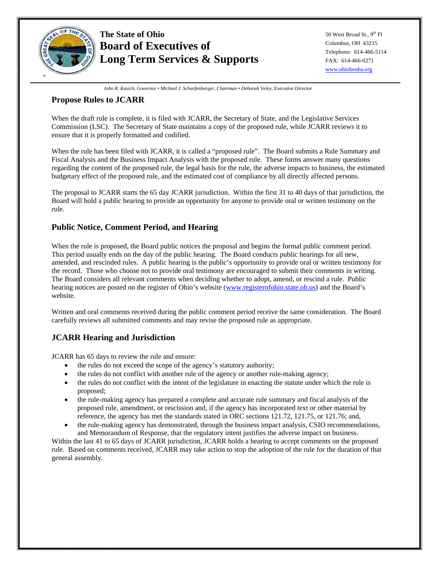

50 West Broad St., 9<sup>th</sup> Fl Columbus, OH 43215 Telephone: 614-466-5114 FAX: 614-466-0271 www.ohiobenha.org

*John R. Kasich, Governor • Michael J. Scharfenberger, Chairman • Deborah Veley, Executive Director* 

## **Propose Rules to JCARR**

When the draft rule is complete, it is filed with JCARR, the Secretary of State, and the Legislative Services Commission (LSC). The Secretary of State maintains a copy of the proposed rule, while JCARR reviews it to ensure that it is properly formatted and codified.

When the rule has been filed with JCARR, it is called a "proposed rule". The Board submits a Rule Summary and Fiscal Analysis and the Business Impact Analysis with the proposed rule. These forms answer many questions regarding the content of the proposed rule, the legal basis for the rule, the adverse impacts to business, the estimated budgetary effect of the proposed rule, and the estimated cost of compliance by all directly affected persons.

The proposal to JCARR starts the 65 day JCARR jurisdiction. Within the first 31 to 40 days of that jurisdiction, the Board will hold a public hearing to provide an opportunity for anyone to provide oral or written testimony on the rule.

## **Public Notice, Comment Period, and Hearing**

When the rule is proposed, the Board public notices the proposal and begins the formal public comment period. This period usually ends on the day of the public hearing. The Board conducts public hearings for all new, amended, and rescinded rules. A public hearing is the public's opportunity to provide oral or written testimony for the record. Those who choose not to provide oral testimony are encouraged to submit their comments in writing. The Board considers all relevant comments when deciding whether to adopt, amend, or rescind a rule. Public hearing notices are posted on the register of Ohio's website (www.registerofohio.state.oh.us) and the Board's website.

Written and oral comments received during the public comment period receive the same consideration. The Board carefully reviews all submitted comments and may revise the proposed rule as appropriate.

## **JCARR Hearing and Jurisdiction**

JCARR has 65 days to review the rule and ensure:

- the rules do not exceed the scope of the agency's statutory authority;
- the rules do not conflict with another rule of the agency or another rule-making agency;
- the rules do not conflict with the intent of the legislature in enacting the statute under which the rule is proposed;
- the rule-making agency has prepared a complete and accurate rule summary and fiscal analysis of the proposed rule, amendment, or rescission and, if the agency has incorporated text or other material by reference, the agency has met the standards stated in ORC sections 121.72, 121.75, or 121.76; and,
- the rule-making agency has demonstrated, through the business impact analysis, CSIO recommendations, and Memorandum of Response, that the regulatory intent justifies the adverse impact on business.

Within the last 41 to 65 days of JCARR jurisdiction, JCARR holds a hearing to accept comments on the proposed rule. Based on comments received, JCARR may take action to stop the adoption of the rule for the duration of that general assembly.